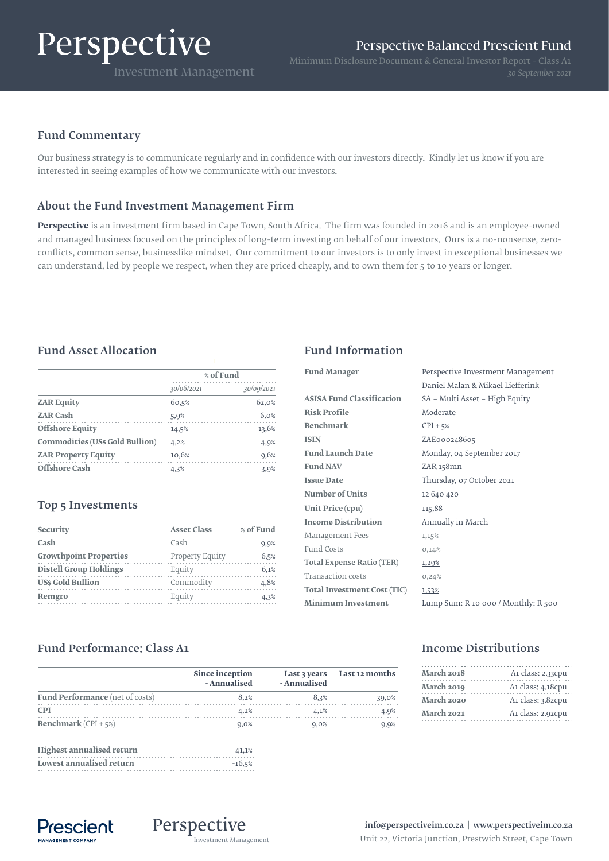# Perspective

# Fund Commentary

Our business strategy is to communicate regularly and in confidence with our investors directly. Kindly let us know if you are interested in seeing examples of how we communicate with our investors.

# About the Fund Investment Management Firm

**Perspective** is an investment firm based in Cape Town, South Africa. The firm was founded in 2016 and is an employee-owned and managed business focused on the principles of long-term investing on behalf of our investors. Ours is a no-nonsense, zeroconflicts, common sense, businesslike mindset. Our commitment to our investors is to only invest in exceptional businesses we can understand, led by people we respect, when they are priced cheaply, and to own them for 5 to 10 years or longer.

# Fund Asset Allocation Fund Information

|                                        | % of Fund  |            |
|----------------------------------------|------------|------------|
|                                        | 30/06/2021 | 30/09/2021 |
| <b>ZAR Equity</b>                      | 60,5%      | 62,0%      |
| <b>ZAR Cash</b>                        | 5,9%       | 6,0%       |
| <b>Offshore Equity</b>                 | 14.5%      | 13,6%      |
| <b>Commodities (US\$ Gold Bullion)</b> | 4,2%       | 4,9%       |
| <b>ZAR Property Equity</b>             | 10,6%      | 9,6%       |
| Offshore Cash                          | 4.3%       | 3,9%       |

# Top 5 Investments

| Security                      | <b>Asset Class</b> | % of Fund |
|-------------------------------|--------------------|-----------|
| Cash                          | Cash               | 9,9%      |
| <b>Growthpoint Properties</b> | Property Equity    | 6,5%      |
| <b>Distell Group Holdings</b> | Equity             | 6.1%      |
| <b>USs Gold Bullion</b>       | Commodity          | 4.8%      |
| Remgro                        | Equity             | 4.3%      |
|                               |                    |           |

| <b>Fund Manager</b>              | Perspective Investment Management   |
|----------------------------------|-------------------------------------|
|                                  | Daniel Malan & Mikael Liefferink    |
| <b>ASISA Fund Classification</b> | SA – Multi Asset – High Equity      |
| <b>Risk Profile</b>              | Moderate                            |
| <b>Benchmark</b>                 | $CPI + 5%$                          |
| <b>ISIN</b>                      | ZAE000248605                        |
| <b>Fund Launch Date</b>          | Monday, 04 September 2017           |
| <b>Fund NAV</b>                  | ZAR 158mn                           |
| <b>Issue Date</b>                | Thursday, 07 October 2021           |
| <b>Number of Units</b>           | 12 640 420                          |
| Unit Price (cpu)                 | 115,88                              |
| <b>Income Distribution</b>       | Annually in March                   |
| Management Fees                  | 1,15%                               |
| Fund Costs                       | 0,14%                               |
| <b>Total Expense Ratio (TER)</b> | 1,20%                               |
| <b>Transaction costs</b>         | 0,24%                               |
| Total Investment Cost (TIC)      | 1,53%                               |
| <b>Minimum Investment</b>        | Lump Sum: R 10 000 / Monthly: R 500 |
|                                  |                                     |

# Fund Performance: Class A1

|                                  | Since inception<br>- Annualised | - Annualised | Last 3 years Last 12 months |
|----------------------------------|---------------------------------|--------------|-----------------------------|
| Fund Performance (net of costs)  | 8.2%                            | 8.3%         | 39,0%                       |
| <b>CPI</b>                       | 4,2%                            | 4.1%         | 4,9%                        |
| <b>Benchmark</b> (CPI + $5\%$ )  | 0.0%                            | 9.0%         | 9,9%                        |
| <b>Highest annualised return</b> | 41.1%                           |              |                             |
| Lowest annualised return         | $-16,5%$                        |              |                             |

# Income Distributions

| March 2018 | A1 class: 2.33cpu |
|------------|-------------------|
| March 2019 | A1 class: 4.18cpu |
| March 2020 | A1 class: 3.82cpu |
| March 2021 | A1 class: 2.92cpu |



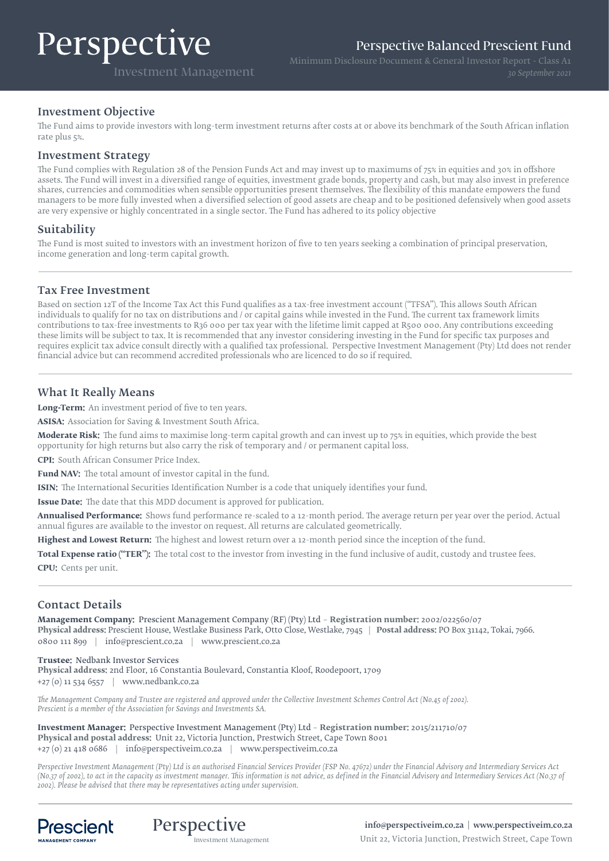# Perspective

Perspective Balanced Prescient Fund

Investment Management

Minimum Disclosure Document & General Investor Report - Class A1

### Investment Objective

The Fund aims to provide investors with long-term investment returns after costs at or above its benchmark of the South African inflation rate plus 5%.

#### Investment Strategy

The Fund complies with Regulation 28 of the Pension Funds Act and may invest up to maximums of 75% in equities and 30% in offshore assets. The Fund will invest in a diversified range of equities, investment grade bonds, property and cash, but may also invest in preference shares, currencies and commodities when sensible opportunities present themselves. The flexibility of this mandate empowers the fund managers to be more fully invested when a diversified selection of good assets are cheap and to be positioned defensively when good assets are very expensive or highly concentrated in a single sector. The Fund has adhered to its policy objective

### Suitability

The Fund is most suited to investors with an investment horizon of five to ten years seeking a combination of principal preservation, income generation and long-term capital growth.

#### Tax Free Investment

Based on section 12T of the Income Tax Act this Fund qualifies as a tax-free investment account ("TFSA"). This allows South African individuals to qualify for no tax on distributions and / or capital gains while invested in the Fund. The current tax framework limits contributions to tax-free investments to R36 000 per tax year with the lifetime limit capped at R500 000. Any contributions exceeding these limits will be subject to tax. It is recommended that any investor considering investing in the Fund for specific tax purposes and requires explicit tax advice consult directly with a qualified tax professional. Perspective Investment Management (Pty) Ltd does not render financial advice but can recommend accredited professionals who are licenced to do so if required.

### What It Really Means

**Long-Term:** An investment period of five to ten years.

**ASISA:** Association for Saving & Investment South Africa.

**Moderate Risk:** The fund aims to maximise long-term capital growth and can invest up to 75% in equities, which provide the best opportunity for high returns but also carry the risk of temporary and / or permanent capital loss.

**CPI:** South African Consumer Price Index.

**Fund NAV:** The total amount of investor capital in the fund.

**ISIN:** The International Securities Identification Number is a code that uniquely identifies your fund.

**Issue Date:** The date that this MDD document is approved for publication.

**Annualised Performance:** Shows fund performance re-scaled to a 12-month period. The average return per year over the period. Actual annual figures are available to the investor on request. All returns are calculated geometrically.

**Highest and Lowest Return:** The highest and lowest return over a 12-month period since the inception of the fund.

**Total Expense ratio ("TER"):** The total cost to the investor from investing in the fund inclusive of audit, custody and trustee fees. **CPU:** Cents per unit.

#### Contact Details

**Management Company:** Prescient Management Company (RF) (Pty) Ltd – **Registration number:** 2002/022560/07 **Physical address:** Prescient House, Westlake Business Park, Otto Close, Westlake, 7945 | **Postal address:** PO Box 31142, Tokai, 7966. 0800 111 899 | info@prescient.co.za | www.prescient.co.za

**Trustee:** Nedbank Investor Services **Physical address:** 2nd Floor, 16 Constantia Boulevard, Constantia Kloof, Roodepoort, 1709 +27 (0) 11 534 6557 | www.nedbank.co.za

*The Management Company and Trustee are registered and approved under the Collective Investment Schemes Control Act (No.45 of 2002). Prescient is a member of the Association for Savings and Investments SA.*

**Investment Manager:** Perspective Investment Management (Pty) Ltd – **Registration number:** 2015/211710/07 **Physical and postal address:** Unit 22, Victoria Junction, Prestwich Street, Cape Town 8001 +27 (0) 21 418 0686 | info@perspectiveim.co.za | www.perspectiveim.co.za

*Perspective Investment Management (Pty) Ltd is an authorised Financial Services Provider (FSP No. 47672) under the Financial Advisory and Intermediary Services Act (No.37 of 2002), to act in the capacity as investment manager. This information is not advice, as defined in the Financial Advisory and Intermediary Services Act (N0.37 of 2002). Please be advised that there may be representatives acting under supervision.*